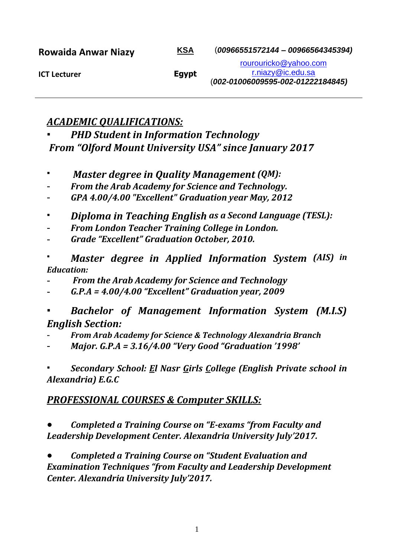| <b>Rowaida Anwar Niazy</b> | <u>KSA</u> | $(00966551572144 - 00966564345394)$ |
|----------------------------|------------|-------------------------------------|
| <b>ICT Lecturer</b>        | Egypt      | rourouricko@yahoo.com               |
|                            |            | r.niazy@ic.edu.sa                   |
|                            |            | (002-01006009595-002-01222184845)   |

## *ACADEMIC QUALIFICATIONS:*

*PHD Student in Information Technology From "Olford Mount University USA" since January 2017*

- *Master degree in Quality Management* (QM):
- *From the Arab Academy for Science and Technology.*
- *GPA 4.00/4.00 "Excellent" Graduation year May, 2012*
- *Diploma in Teaching English as a Second Language (TESL):*
- *From London Teacher Training College in London.*
- *Grade "Excellent" Graduation October, 2010.*
- *Master degree in Applied Information System (AIS) in Education:*
- *From the Arab Academy for Science and Technology*
- *G.P.A = 4.00/4.00 "Excellent" Graduation year, 2009*
- *Bachelor of Management Information System (M.I.S) English Section:*
- *From Arab Academy for Science & Technology Alexandria Branch*
- *Major. G.P.A = 3.16/4.00 "Very Good "Graduation '1998'*

**Secondary School: El Nasr Girls College (English Private school in** *Alexandria) E.G.C*

# *PROFESSIONAL COURSES & Computer SKILLS:*

● *Completed a Training Course on "E-exams "from Faculty and Leadership Development Center. Alexandria University July'2017.*

● *Completed a Training Course on "Student Evaluation and Examination Techniques "from Faculty and Leadership Development Center. Alexandria University July'2017.*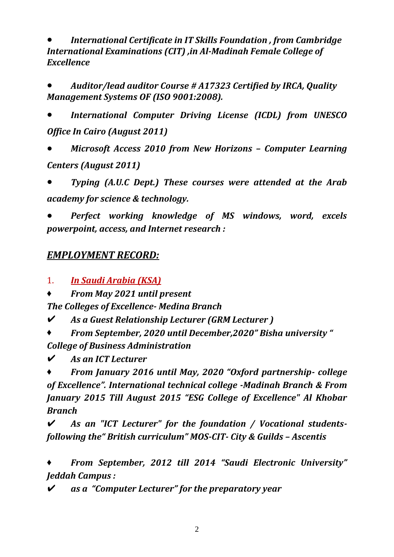● *International Certificate in IT Skills Foundation , from Cambridge International Examinations (CIT) ,in Al-Madinah Female College of Excellence* 

● *Auditor/lead auditor Course # A17323 Certified by IRCA, Quality Management Systems OF (ISO 9001:2008).*

● *International Computer Driving License (ICDL) from UNESCO Office In Cairo (August 2011)*

● *Microsoft Access 2010 from New Horizons – Computer Learning Centers (August 2011)* 

● *Typing (A.U.C Dept.) These courses were attended at the Arab academy for science & technology.* 

● *Perfect working knowledge of MS windows, word, excels powerpoint, access, and Internet research :*

### *EMPLOYMENT RECORD:*

1. *In Saudi Arabia (KSA)*

♦ *From May 2021 until present* 

*The Colleges of Excellence- Medina Branch* 

✔ *As a Guest Relationship Lecturer (GRM Lecturer )*

♦ *From September, 2020 until December,2020" Bisha university " College of Business Administration* 

✔ *As an ICT Lecturer* 

♦ *From January 2016 until May, 2020 "Oxford partnership- college of Excellence". International technical college -Madinah Branch & From January 2015 Till August 2015 "ESG College of Excellence" Al Khobar Branch*

✔ *As an "ICT Lecturer" for the foundation / Vocational studentsfollowing the" British curriculum" MOS-CIT- City & Guilds – Ascentis* 

♦ *From September, 2012 till 2014 "Saudi Electronic University" Jeddah Campus :*

✔ *as a "Computer Lecturer" for the preparatory year*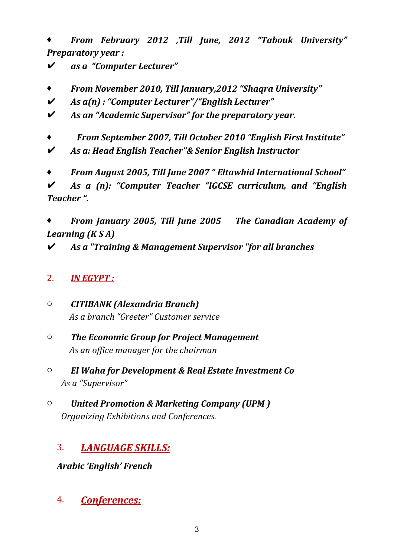♦ *From February 2012 ,Till June, 2012 "Tabouk University" Preparatory year :*

✔ *as a "Computer Lecturer"*

- ♦ *From November 2010, Till January,2012 "Shaqra University"*
- ✔ *As a(n) : "Computer Lecturer"/"English Lecturer"*
- ✔ *As an "Academic Supervisor" for the preparatory year.*
- ♦ *From September 2007, Till October 2010 "English First Institute"*
- ✔ *As a: Head English Teacher"& Senior English Instructor*
- ♦ *From August 2005, Till June 2007 " Eltawhid International School"*

✔ *As a (n): "Computer Teacher "IGCSE curriculum, and "English Teacher ".*

♦ *From January 2005, Till June 2005 The Canadian Academy of Learning (K S A)*

✔ *As a "Training & Management Supervisor "for all branches* 

### 2. *IN EGYPT :*

o *CITIBANK (Alexandria Branch) As a branch "Greeter" Customer service* 

- o *The Economic Group for Project Management As an office manager for the chairman*
- o *El Waha for Development & Real Estate Investment Co As a "Supervisor"*
- o *United Promotion & Marketing Company (UPM ) Organizing Exhibitions and Conferences.*

# 3. *LANGUAGE SKILLS:*

### *Arabic 'English' French*

4. *Conferences:*